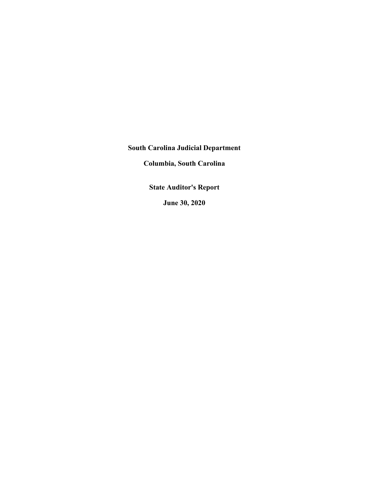**South Carolina Judicial Department**

**Columbia, South Carolina**

**State Auditor's Report**

**June 30, 2020**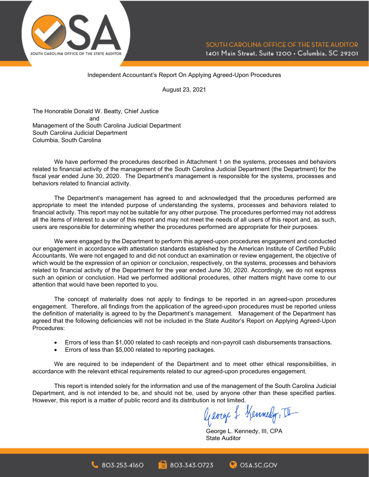

#### Independent Accountant's Report On Applying Agreed-Upon Procedures

August 23, 2021

The Honorable Donald W. Beatty, Chief Justice and Management of the South Carolina Judicial Department South Carolina Judicial Department Columbia, South Carolina

We have performed the procedures described in Attachment 1 on the systems, processes and behaviors related to financial activity of the management of the South Carolina Judicial Department (the Department) for the fiscal year ended June 30, 2020. The Department's management is responsible for the systems, processes and behaviors related to financial activity.

The Department's management has agreed to and acknowledged that the procedures performed are appropriate to meet the intended purpose of understanding the systems, processes and behaviors related to financial activity. This report may not be suitable for any other purpose. The procedures performed may not address all the items of interest to a user of this report and may not meet the needs of all users of this report and, as such, users are responsible for determining whether the procedures performed are appropriate for their purposes.

We were engaged by the Department to perform this agreed-upon procedures engagement and conducted our engagement in accordance with attestation standards established by the American Institute of Certified Public Accountants. We were not engaged to and did not conduct an examination or review engagement, the objective of which would be the expression of an opinion or conclusion, respectively, on the systems, processes and behaviors related to financial activity of the Department for the year ended June 30, 2020. Accordingly, we do not express such an opinion or conclusion. Had we performed additional procedures, other matters might have come to our attention that would have been reported to you.

The concept of materiality does not apply to findings to be reported in an agreed-upon procedures engagement. Therefore, all findings from the application of the agreed-upon procedures must be reported unless the definition of materiality is agreed to by the Department's management. Management of the Department has agreed that the following deficiencies will not be included in the State Auditor's Report on Applying Agreed-Upon Procedures:

- Errors of less than \$1,000 related to cash receipts and non-payroll cash disbursements transactions.
- Errors of less than \$5,000 related to reporting packages.

We are required to be independent of the Department and to meet other ethical responsibilities, in accordance with the relevant ethical requirements related to our agreed-upon procedures engagement.

This report is intended solely for the information and use of the management of the South Carolina Judicial Department, and is not intended to be, and should not be, used by anyone other than these specified parties.

However, this report is a matter of public record and its distribution is not limited.<br> $\int_{\mathcal{U}}$  long  $\int_{\mathcal{U}}$  Munthy, II

George L. Kennedy, III, CPA State Auditor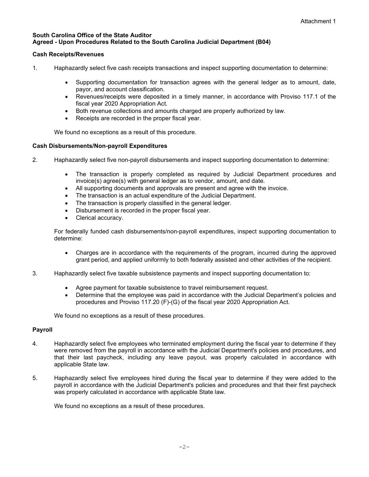## **South Carolina Office of the State Auditor Agreed - Upon Procedures Related to the South Carolina Judicial Department (B04)**

## **Cash Receipts/Revenues**

- 1. Haphazardly select five cash receipts transactions and inspect supporting documentation to determine:
	- Supporting documentation for transaction agrees with the general ledger as to amount, date, payor, and account classification.
	- Revenues/receipts were deposited in a timely manner, in accordance with Proviso 117.1 of the fiscal year 2020 Appropriation Act.
	- Both revenue collections and amounts charged are properly authorized by law.
	- Receipts are recorded in the proper fiscal year.

We found no exceptions as a result of this procedure.

## **Cash Disbursements/Non-payroll Expenditures**

- 2. Haphazardly select five non-payroll disbursements and inspect supporting documentation to determine:
	- The transaction is properly completed as required by Judicial Department procedures and invoice(s) agree(s) with general ledger as to vendor, amount, and date.
	- All supporting documents and approvals are present and agree with the invoice.
	- The transaction is an actual expenditure of the Judicial Department.
	- The transaction is properly classified in the general ledger.
	- Disbursement is recorded in the proper fiscal year.
	- Clerical accuracy.

For federally funded cash disbursements/non-payroll expenditures, inspect supporting documentation to determine:

- Charges are in accordance with the requirements of the program, incurred during the approved grant period, and applied uniformly to both federally assisted and other activities of the recipient.
- 3. Haphazardly select five taxable subsistence payments and inspect supporting documentation to:
	- Agree payment for taxable subsistence to travel reimbursement request.
	- Determine that the employee was paid in accordance with the Judicial Department's policies and procedures and Proviso 117.20 (F)-(G) of the fiscal year 2020 Appropriation Act.

We found no exceptions as a result of these procedures.

# **Payroll**

- 4. Haphazardly select five employees who terminated employment during the fiscal year to determine if they were removed from the payroll in accordance with the Judicial Department's policies and procedures, and that their last paycheck, including any leave payout, was properly calculated in accordance with applicable State law.
- 5. Haphazardly select five employees hired during the fiscal year to determine if they were added to the payroll in accordance with the Judicial Department's policies and procedures and that their first paycheck was properly calculated in accordance with applicable State law.

We found no exceptions as a result of these procedures.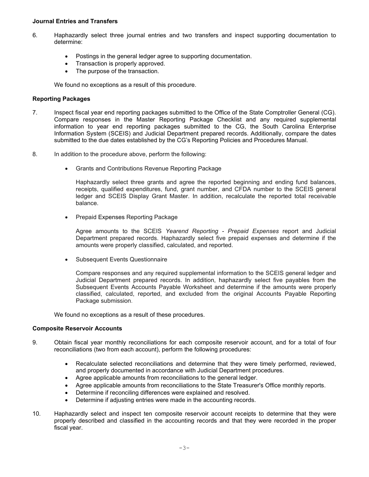#### **Journal Entries and Transfers**

- 6. Haphazardly select three journal entries and two transfers and inspect supporting documentation to determine:
	- Postings in the general ledger agree to supporting documentation.
	- Transaction is properly approved.
	- The purpose of the transaction.

We found no exceptions as a result of this procedure.

#### **Reporting Packages**

- 7. Inspect fiscal year end reporting packages submitted to the Office of the State Comptroller General (CG). Compare responses in the Master Reporting Package Checklist and any required supplemental information to year end reporting packages submitted to the CG, the South Carolina Enterprise Information System (SCEIS) and Judicial Department prepared records. Additionally, compare the dates submitted to the due dates established by the CG's Reporting Policies and Procedures Manual.
- 8. In addition to the procedure above, perform the following:
	- Grants and Contributions Revenue Reporting Package

Haphazardly select three grants and agree the reported beginning and ending fund balances, receipts, qualified expenditures, fund, grant number, and CFDA number to the SCEIS general ledger and SCEIS Display Grant Master. In addition, recalculate the reported total receivable balance.

• Prepaid Expenses Reporting Package

Agree amounts to the SCEIS *Yearend Reporting - Prepaid Expenses* report and Judicial Department prepared records. Haphazardly select five prepaid expenses and determine if the amounts were properly classified, calculated, and reported.

• Subsequent Events Questionnaire

Compare responses and any required supplemental information to the SCEIS general ledger and Judicial Department prepared records. In addition, haphazardly select five payables from the Subsequent Events Accounts Payable Worksheet and determine if the amounts were properly classified, calculated, reported, and excluded from the original Accounts Payable Reporting Package submission.

We found no exceptions as a result of these procedures.

#### **Composite Reservoir Accounts**

- 9. Obtain fiscal year monthly reconciliations for each composite reservoir account, and for a total of four reconciliations (two from each account), perform the following procedures:
	- Recalculate selected reconciliations and determine that they were timely performed, reviewed, and properly documented in accordance with Judicial Department procedures.
	- Agree applicable amounts from reconciliations to the general ledger.
	- Agree applicable amounts from reconciliations to the State Treasurer's Office monthly reports.
	- Determine if reconciling differences were explained and resolved.
	- Determine if adjusting entries were made in the accounting records.
- 10. Haphazardly select and inspect ten composite reservoir account receipts to determine that they were properly described and classified in the accounting records and that they were recorded in the proper fiscal year.